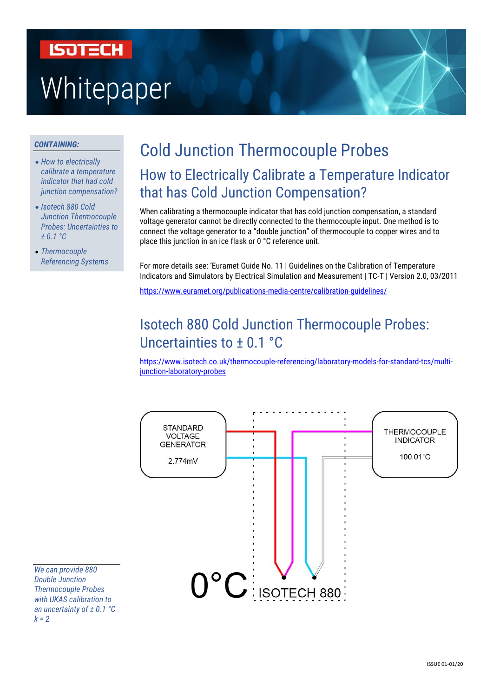# **ISOTECH** Whitepaper

#### *CONTAINING:*

- *How to electrically calibrate a temperature indicator that had cold junction compensation?*
- *Isotech 880 Cold Junction Thermocouple Probes: Uncertainties to ± 0.1 °C*
- *Thermocouple Referencing Systems*

# Cold Junction Thermocouple Probes How to Electrically Calibrate a Temperature Indicator that has Cold Junction Compensation?

When calibrating a thermocouple indicator that has cold junction compensation, a standard voltage generator cannot be directly connected to the thermocouple input. One method is to connect the voltage generator to a "double junction" of thermocouple to copper wires and to place this junction in an ice flask or 0 °C reference unit.

For more details see: 'Euramet Guide No. 11 | Guidelines on the Calibration of Temperature Indicators and Simulators by Electrical Simulation and Measurement | TC-T | Version 2.0, 03/2011

<https://www.euramet.org/publications-media-centre/calibration-guidelines/>

# Isotech 880 Cold Junction Thermocouple Probes: Uncertainties to ± 0.1 °C

[https://www.isotech.co.uk/thermocouple-referencing/laboratory-models-for-standard-tcs/multi](https://www.isotech.co.uk/thermocouple-referencing/laboratory-models-for-standard-tcs/multi-junction-laboratory-probes)[junction-laboratory-probes](https://www.isotech.co.uk/thermocouple-referencing/laboratory-models-for-standard-tcs/multi-junction-laboratory-probes)



*We can provide 880 Double Junction Thermocouple Probes with UKAS calibration to an uncertainty of ± 0.1 °C k = 2*